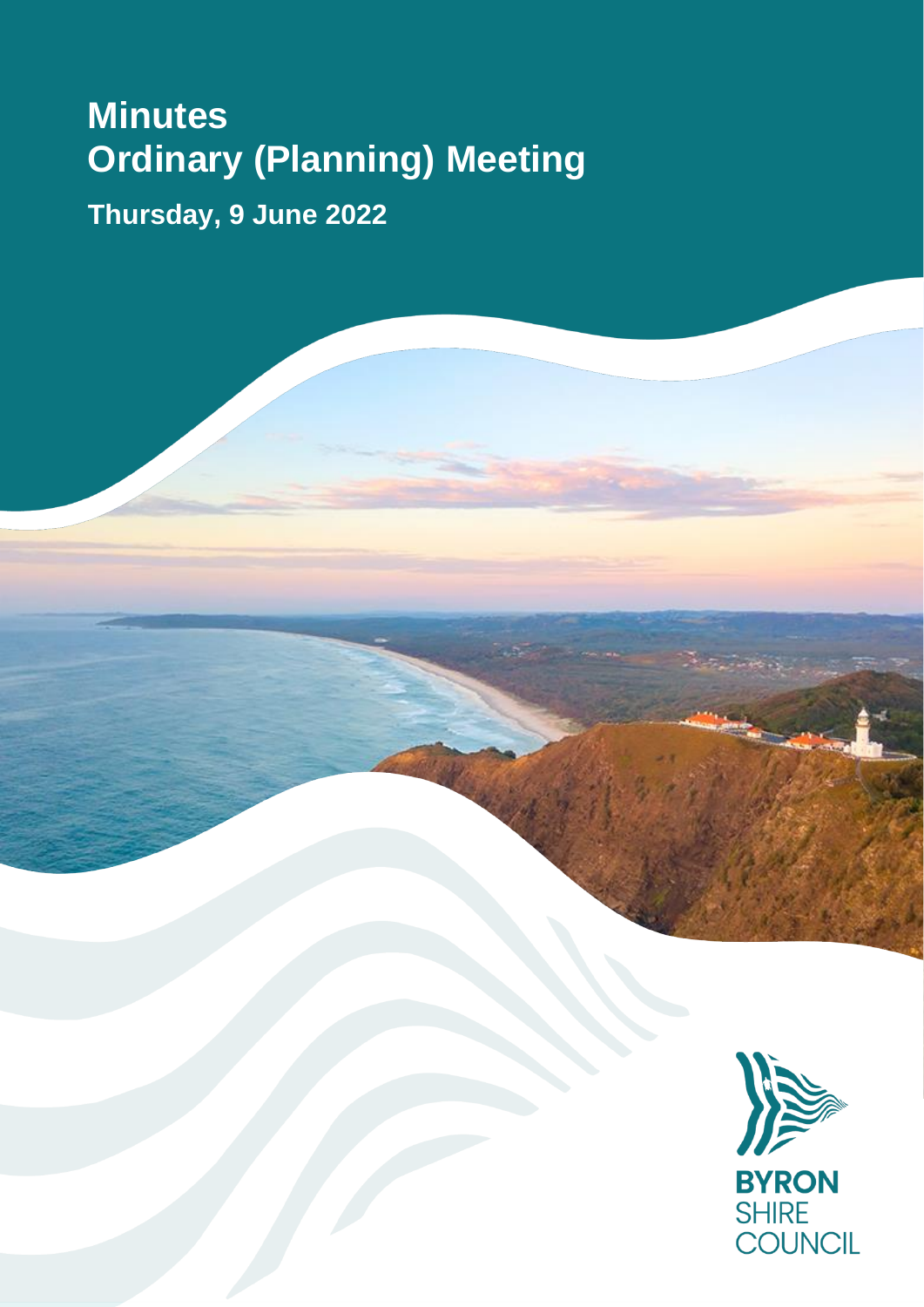# **Minutes Ordinary (Planning) Meeting**

**Thursday, 9 June 2022**

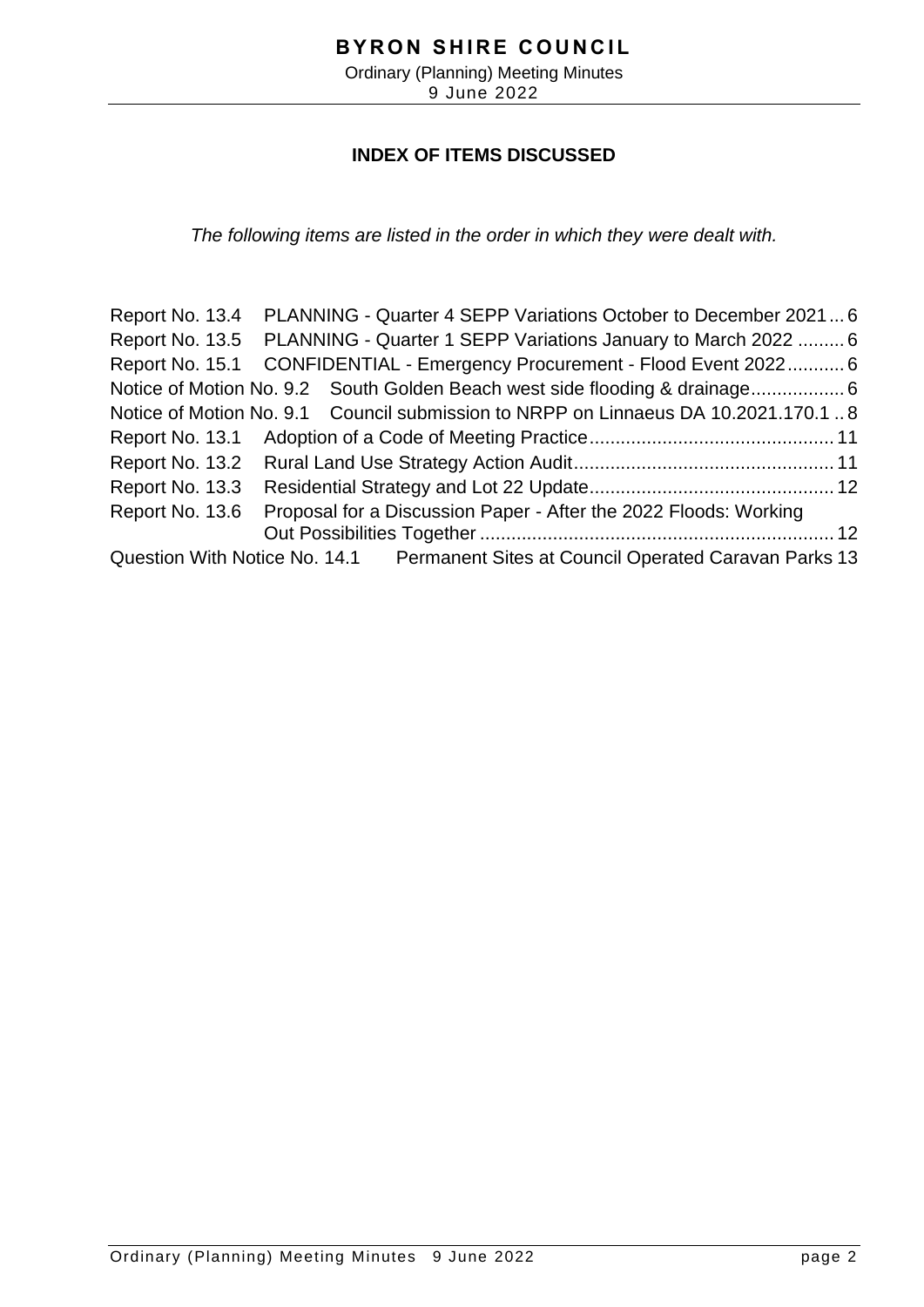# **INDEX OF ITEMS DISCUSSED**

*The following items are listed in the order in which they were dealt with.*

Report No. 13.4 PLANNING - [Quarter 4 SEPP Variations October to December 2021...](#page-5-0) 6 Report No. 13.5 PLANNING - [Quarter 1 SEPP Variations January to March 2022](#page-5-0) ......... 6 Report No. 15.1 CONFIDENTIAL - [Emergency Procurement -](#page-5-0) Flood Event 2022........... 6 Notice of Motion No. 9.2 [South Golden Beach west side flooding & drainage..................](#page-5-0) 6 Notice of Motion No. 9.1 [Council submission to NRPP on Linnaeus DA 10.2021.170.1](#page-7-0) .. 8 Report No. 13.1 [Adoption of a Code of Meeting Practice...............................................](#page-10-0) 11 Report No. 13.2 [Rural Land Use Strategy Action Audit..................................................](#page-10-0) 11 Report No. 13.3 [Residential Strategy and Lot 22 Update...............................................](#page-11-0) 12 Report No. 13.6 [Proposal for a Discussion Paper -](#page-11-0) After the 2022 Floods: Working Out Possibilities Together [....................................................................](#page-11-0) 12 Question With Notice No. 14.1 [Permanent Sites at Council Operated Caravan Parks](#page-12-0) 13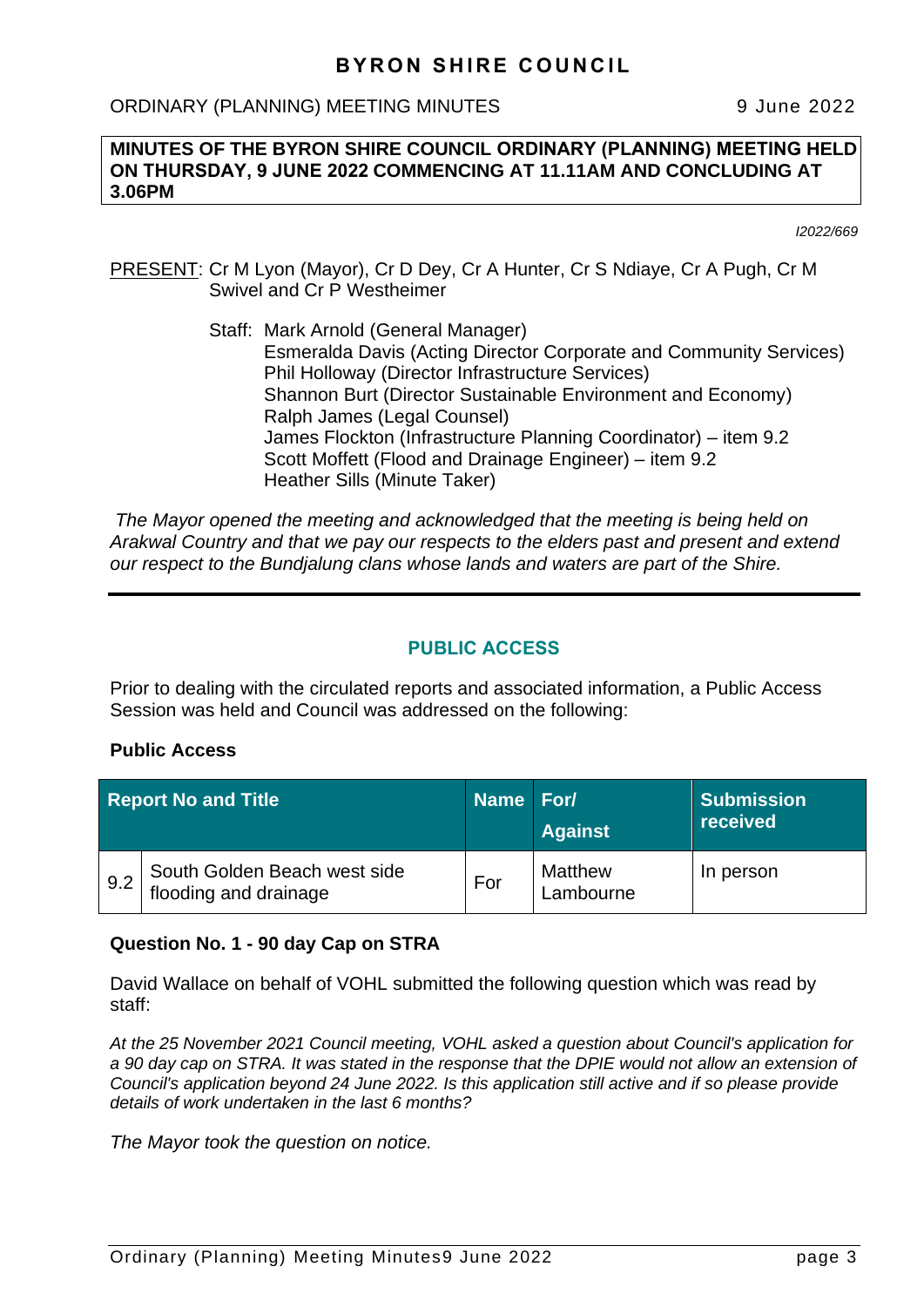ORDINARY (PLANNING) MEETING MINUTES 9 June 2022

#### **MINUTES OF THE BYRON SHIRE COUNCIL ORDINARY (PLANNING) MEETING HELD ON THURSDAY, 9 JUNE 2022 COMMENCING AT 11.11AM AND CONCLUDING AT 3.06PM**

*I2022/669*

- PRESENT: Cr M Lyon (Mayor), Cr D Dey, Cr A Hunter, Cr S Ndiaye, Cr A Pugh, Cr M Swivel and Cr P Westheimer
	- Staff: Mark Arnold (General Manager) Esmeralda Davis (Acting Director Corporate and Community Services) Phil Holloway (Director Infrastructure Services) Shannon Burt (Director Sustainable Environment and Economy) Ralph James (Legal Counsel) James Flockton (Infrastructure Planning Coordinator) – item 9.2 Scott Moffett (Flood and Drainage Engineer) – item 9.2 Heather Sills (Minute Taker)

*The Mayor opened the meeting and acknowledged that the meeting is being held on Arakwal Country and that we pay our respects to the elders past and present and extend our respect to the Bundjalung clans whose lands and waters are part of the Shire.*

#### **PUBLIC ACCESS**

Prior to dealing with the circulated reports and associated information, a Public Access Session was held and Council was addressed on the following:

#### **Public Access**

| <b>Report No and Title</b> |                                                       | Name For/ | <b>Against</b>              | <b>Submission</b><br>received |
|----------------------------|-------------------------------------------------------|-----------|-----------------------------|-------------------------------|
| 9.2                        | South Golden Beach west side<br>flooding and drainage | For       | <b>Matthew</b><br>Lambourne | In person                     |

#### **Question No. 1 - 90 day Cap on STRA**

David Wallace on behalf of VOHL submitted the following question which was read by staff:

*At the 25 November 2021 Council meeting, VOHL asked a question about Council's application for a 90 day cap on STRA. It was stated in the response that the DPIE would not allow an extension of Council's application beyond 24 June 2022. Is this application still active and if so please provide details of work undertaken in the last 6 months?*

*The Mayor took the question on notice.*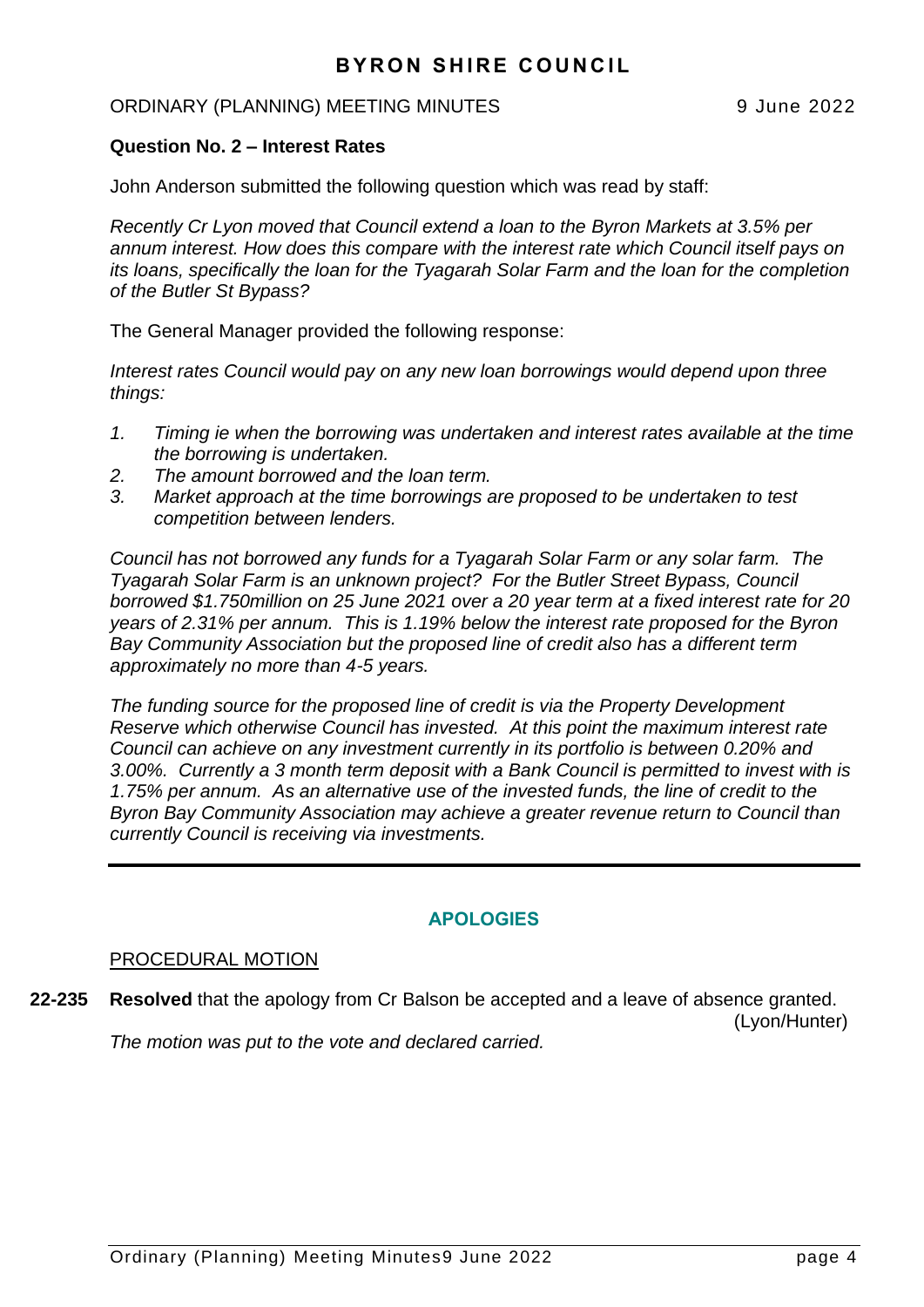#### ORDINARY (PLANNING) MEETING MINUTES 9 June 2022

#### **Question No. 2 – Interest Rates**

John Anderson submitted the following question which was read by staff:

*Recently Cr Lyon moved that Council extend a loan to the Byron Markets at 3.5% per annum interest. How does this compare with the interest rate which Council itself pays on its loans, specifically the loan for the Tyagarah Solar Farm and the loan for the completion of the Butler St Bypass?*

The General Manager provided the following response:

*Interest rates Council would pay on any new loan borrowings would depend upon three things:*

- *1. Timing ie when the borrowing was undertaken and interest rates available at the time the borrowing is undertaken.*
- *2. The amount borrowed and the loan term.*
- *3. Market approach at the time borrowings are proposed to be undertaken to test competition between lenders.*

*Council has not borrowed any funds for a Tyagarah Solar Farm or any solar farm. The Tyagarah Solar Farm is an unknown project? For the Butler Street Bypass, Council borrowed \$1.750million on 25 June 2021 over a 20 year term at a fixed interest rate for 20 years of 2.31% per annum. This is 1.19% below the interest rate proposed for the Byron Bay Community Association but the proposed line of credit also has a different term approximately no more than 4-5 years.*

*The funding source for the proposed line of credit is via the Property Development Reserve which otherwise Council has invested. At this point the maximum interest rate Council can achieve on any investment currently in its portfolio is between 0.20% and 3.00%. Currently a 3 month term deposit with a Bank Council is permitted to invest with is 1.75% per annum. As an alternative use of the invested funds, the line of credit to the Byron Bay Community Association may achieve a greater revenue return to Council than currently Council is receiving via investments.*

## **APOLOGIES**

#### PROCEDURAL MOTION

**22-235 Resolved** that the apology from Cr Balson be accepted and a leave of absence granted. (Lyon/Hunter) *The motion was put to the vote and declared carried.*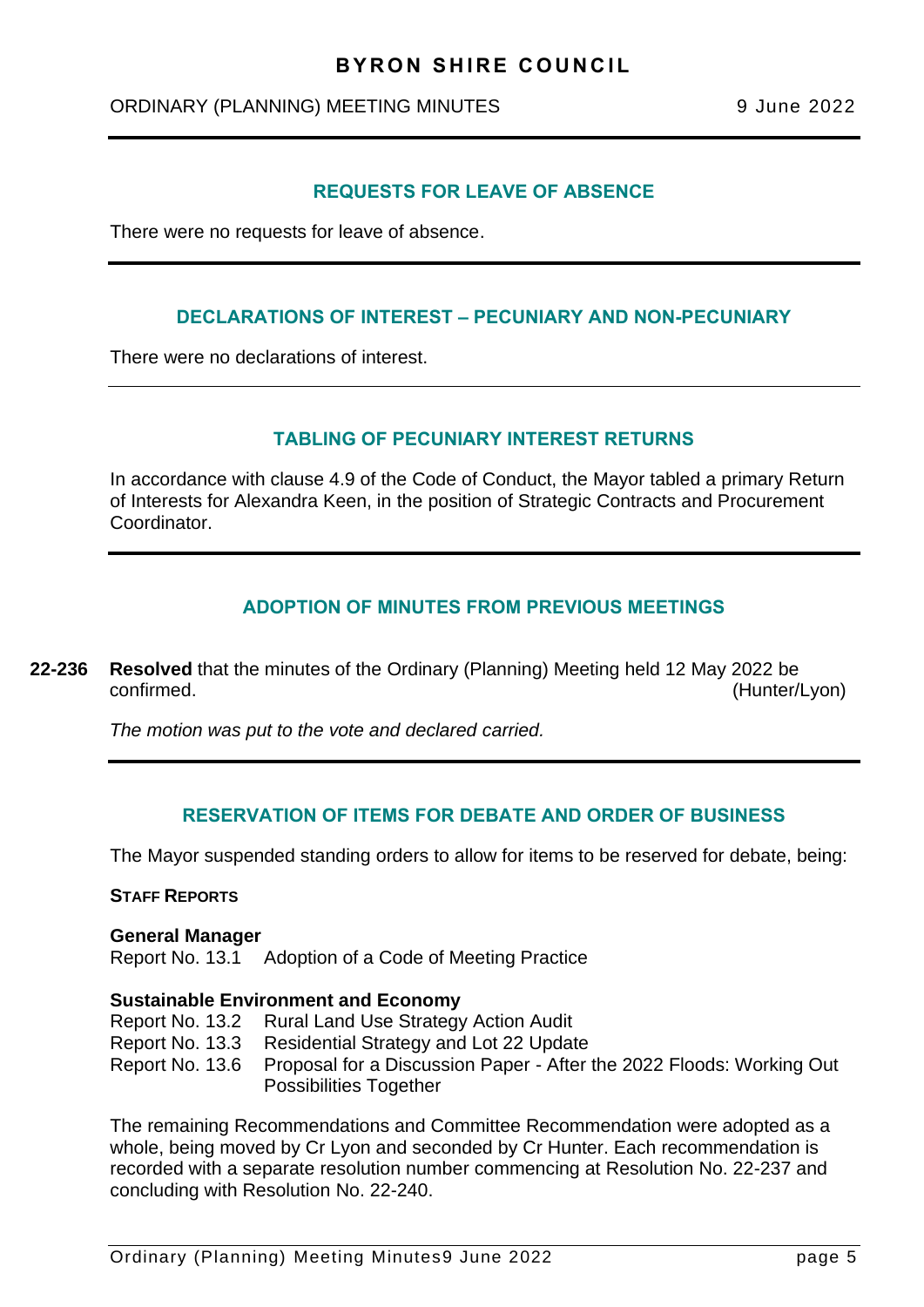## ORDINARY (PLANNING) MEETING MINUTES 9 June 2022

#### **REQUESTS FOR LEAVE OF ABSENCE**

There were no requests for leave of absence.

#### **DECLARATIONS OF INTEREST – PECUNIARY AND NON-PECUNIARY**

There were no declarations of interest.

#### **TABLING OF PECUNIARY INTEREST RETURNS**

In accordance with clause 4.9 of the Code of Conduct, the Mayor tabled a primary Return of Interests for Alexandra Keen, in the position of Strategic Contracts and Procurement **Coordinator** 

#### **ADOPTION OF MINUTES FROM PREVIOUS MEETINGS**

**22-236 Resolved** that the minutes of the Ordinary (Planning) Meeting held 12 May 2022 be confirmed. (Hunter/Lyon)

*The motion was put to the vote and declared carried.*

#### **RESERVATION OF ITEMS FOR DEBATE AND ORDER OF BUSINESS**

The Mayor suspended standing orders to allow for items to be reserved for debate, being:

#### **STAFF REPORTS**

#### **General Manager**

Report No. 13.1 Adoption of a Code of Meeting Practice

#### **Sustainable Environment and Economy**

- Report No. 13.2 Rural Land Use Strategy Action Audit
- Report No. 13.3 Residential Strategy and Lot 22 Update
- Report No. 13.6 Proposal for a Discussion Paper After the 2022 Floods: Working Out Possibilities Together

The remaining Recommendations and Committee Recommendation were adopted as a whole, being moved by Cr Lyon and seconded by Cr Hunter. Each recommendation is recorded with a separate resolution number commencing at Resolution No. 22-237 and concluding with Resolution No. 22-240.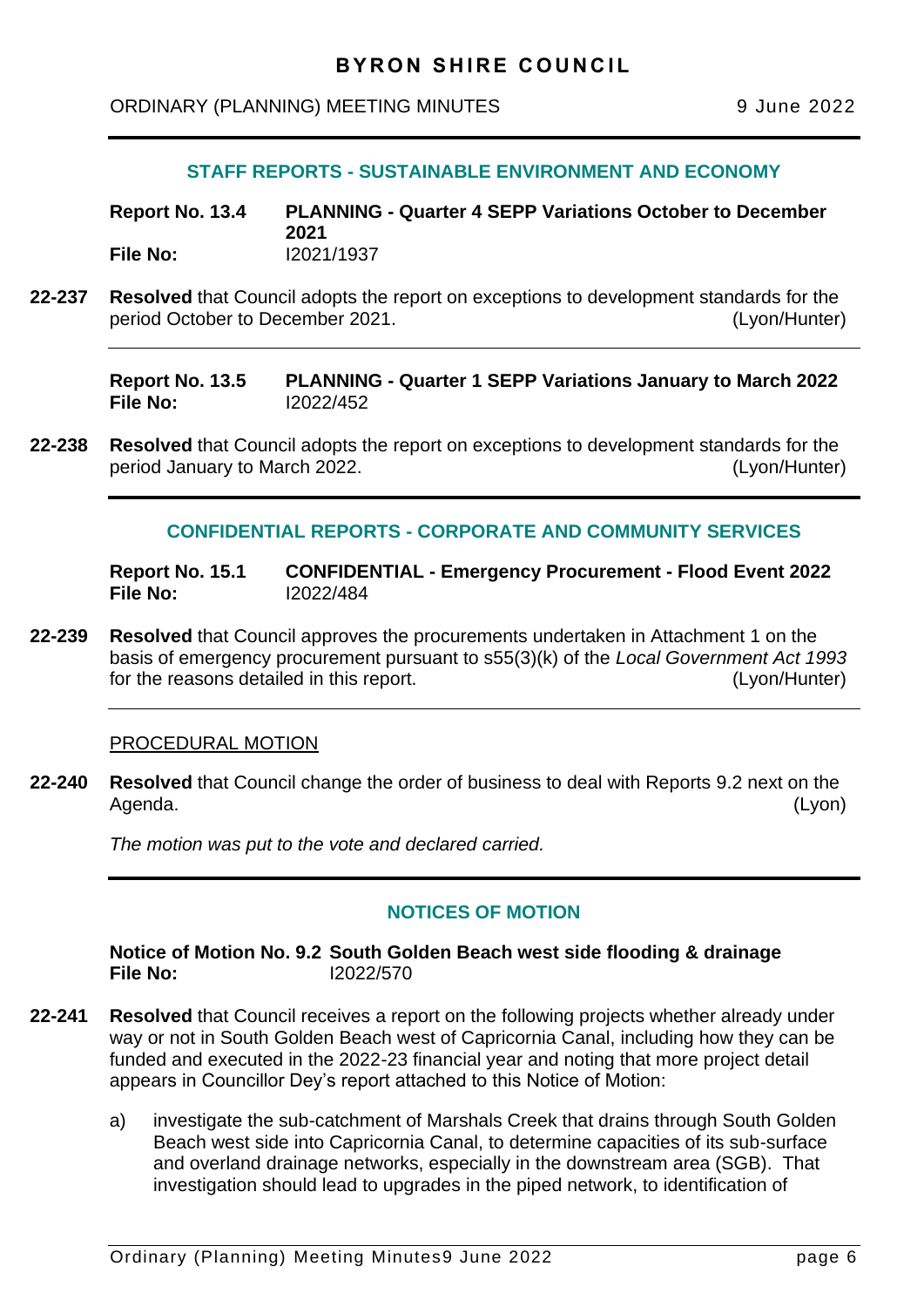<span id="page-5-0"></span>ORDINARY (PLANNING) MEETING MINUTES 9 June 2022

#### **STAFF REPORTS - SUSTAINABLE ENVIRONMENT AND ECONOMY**

**Report No. 13.4 PLANNING - Quarter 4 SEPP Variations October to December 2021 File No:** I2021/1937

**22-237 Resolved** that Council adopts the report on exceptions to development standards for the period October to December 2021. (Lyon/Hunter)

**Report No. 13.5 PLANNING - Quarter 1 SEPP Variations January to March 2022 File No:** I2022/452

**22-238 Resolved** that Council adopts the report on exceptions to development standards for the period January to March 2022. (Lyon/Hunter)

#### **CONFIDENTIAL REPORTS - CORPORATE AND COMMUNITY SERVICES**

**Report No. 15.1 CONFIDENTIAL - Emergency Procurement - Flood Event 2022 File No:** I2022/484

**22-239 Resolved** that Council approves the procurements undertaken in Attachment 1 on the basis of emergency procurement pursuant to s55(3)(k) of the *Local Government Act 1993* for the reasons detailed in this report. (Lyon/Hunter)

#### PROCEDURAL MOTION

**22-240 Resolved** that Council change the order of business to deal with Reports 9.2 next on the Agenda. (Lyon)

*The motion was put to the vote and declared carried.*

#### **NOTICES OF MOTION**

**Notice of Motion No. 9.2 South Golden Beach west side flooding & drainage File No:** I2022/570

- **22-241 Resolved** that Council receives a report on the following projects whether already under way or not in South Golden Beach west of Capricornia Canal, including how they can be funded and executed in the 2022-23 financial year and noting that more project detail appears in Councillor Dey's report attached to this Notice of Motion:
	- a) investigate the sub-catchment of Marshals Creek that drains through South Golden Beach west side into Capricornia Canal, to determine capacities of its sub-surface and overland drainage networks, especially in the downstream area (SGB). That investigation should lead to upgrades in the piped network, to identification of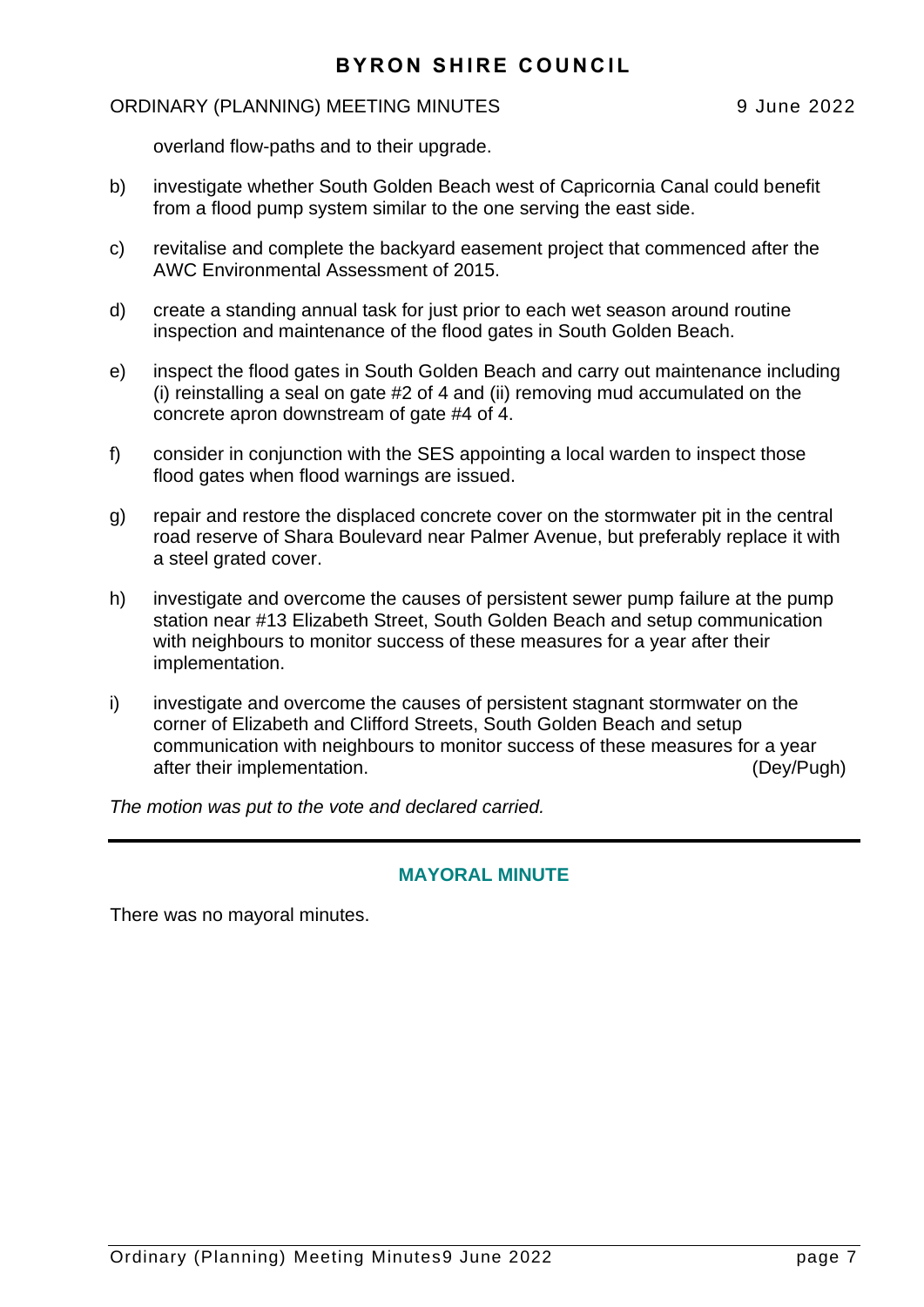#### ORDINARY (PLANNING) MEETING MINUTES 9 June 2022

overland flow-paths and to their upgrade.

- b) investigate whether South Golden Beach west of Capricornia Canal could benefit from a flood pump system similar to the one serving the east side.
- c) revitalise and complete the backyard easement project that commenced after the AWC Environmental Assessment of 2015.
- d) create a standing annual task for just prior to each wet season around routine inspection and maintenance of the flood gates in South Golden Beach.
- e) inspect the flood gates in South Golden Beach and carry out maintenance including (i) reinstalling a seal on gate #2 of 4 and (ii) removing mud accumulated on the concrete apron downstream of gate #4 of 4.
- f) consider in conjunction with the SES appointing a local warden to inspect those flood gates when flood warnings are issued.
- g) repair and restore the displaced concrete cover on the stormwater pit in the central road reserve of Shara Boulevard near Palmer Avenue, but preferably replace it with a steel grated cover.
- h) investigate and overcome the causes of persistent sewer pump failure at the pump station near #13 Elizabeth Street, South Golden Beach and setup communication with neighbours to monitor success of these measures for a year after their implementation.
- i) investigate and overcome the causes of persistent stagnant stormwater on the corner of Elizabeth and Clifford Streets, South Golden Beach and setup communication with neighbours to monitor success of these measures for a year after their implementation. (Dey/Pugh)

*The motion was put to the vote and declared carried.*

#### **MAYORAL MINUTE**

There was no mayoral minutes.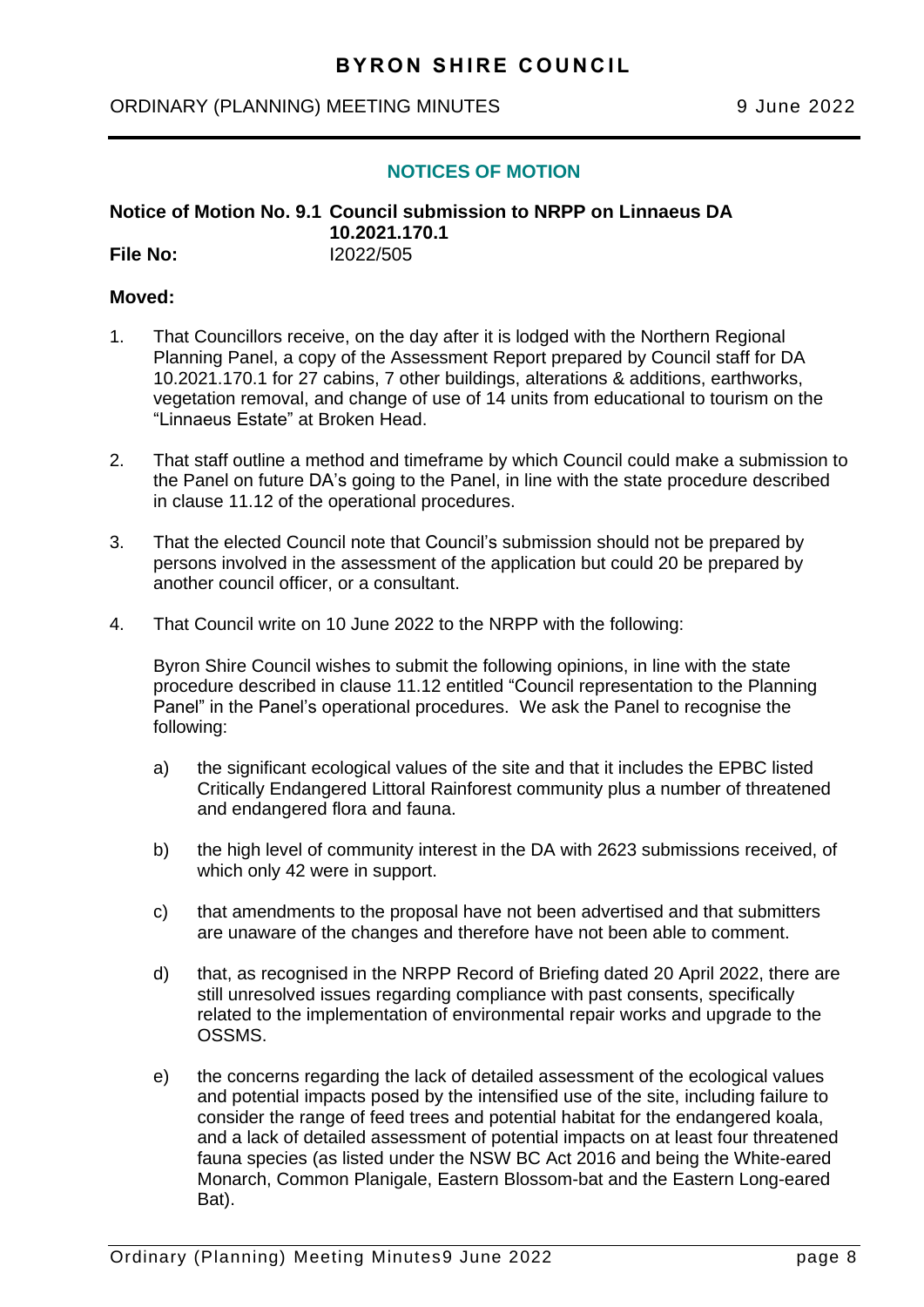#### <span id="page-7-0"></span>ORDINARY (PLANNING) MEETING MINUTES 9 June 2022

#### **NOTICES OF MOTION**

**Notice of Motion No. 9.1 Council submission to NRPP on Linnaeus DA 10.2021.170.1 File No:** I2022/505

#### **Moved:**

- 1. That Councillors receive, on the day after it is lodged with the Northern Regional Planning Panel, a copy of the Assessment Report prepared by Council staff for DA 10.2021.170.1 for 27 cabins, 7 other buildings, alterations & additions, earthworks, vegetation removal, and change of use of 14 units from educational to tourism on the "Linnaeus Estate" at Broken Head.
- 2. That staff outline a method and timeframe by which Council could make a submission to the Panel on future DA's going to the Panel, in line with the state procedure described in clause 11.12 of the operational procedures.
- 3. That the elected Council note that Council's submission should not be prepared by persons involved in the assessment of the application but could 20 be prepared by another council officer, or a consultant.
- 4. That Council write on 10 June 2022 to the NRPP with the following:

Byron Shire Council wishes to submit the following opinions, in line with the state procedure described in clause 11.12 entitled "Council representation to the Planning Panel" in the Panel's operational procedures. We ask the Panel to recognise the following:

- a) the significant ecological values of the site and that it includes the EPBC listed Critically Endangered Littoral Rainforest community plus a number of threatened and endangered flora and fauna.
- b) the high level of community interest in the DA with 2623 submissions received, of which only 42 were in support.
- c) that amendments to the proposal have not been advertised and that submitters are unaware of the changes and therefore have not been able to comment.
- d) that, as recognised in the NRPP Record of Briefing dated 20 April 2022, there are still unresolved issues regarding compliance with past consents, specifically related to the implementation of environmental repair works and upgrade to the OSSMS.
- e) the concerns regarding the lack of detailed assessment of the ecological values and potential impacts posed by the intensified use of the site, including failure to consider the range of feed trees and potential habitat for the endangered koala, and a lack of detailed assessment of potential impacts on at least four threatened fauna species (as listed under the NSW BC Act 2016 and being the White-eared Monarch, Common Planigale, Eastern Blossom-bat and the Eastern Long-eared Bat).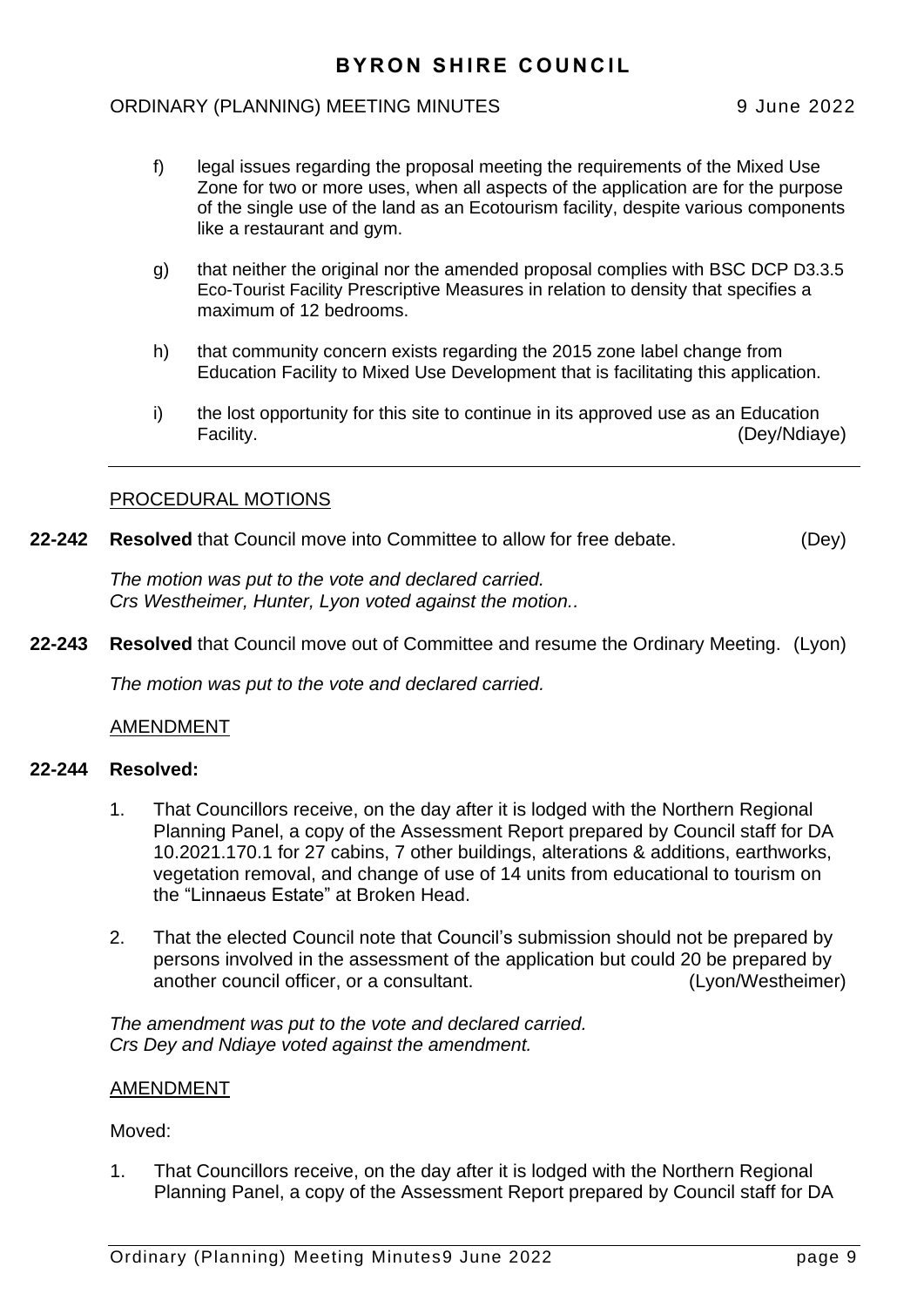#### ORDINARY (PLANNING) MEETING MINUTES 9 June 2022

- f) legal issues regarding the proposal meeting the requirements of the Mixed Use Zone for two or more uses, when all aspects of the application are for the purpose of the single use of the land as an Ecotourism facility, despite various components like a restaurant and gym.
- g) that neither the original nor the amended proposal complies with BSC DCP D3.3.5 Eco-Tourist Facility Prescriptive Measures in relation to density that specifies a maximum of 12 bedrooms.
- h) that community concern exists regarding the 2015 zone label change from Education Facility to Mixed Use Development that is facilitating this application.
- i) the lost opportunity for this site to continue in its approved use as an Education Facility. (Dev/Ndiave)

#### PROCEDURAL MOTIONS

**22-242 Resolved** that Council move into Committee to allow for free debate. (Dey)

*The motion was put to the vote and declared carried. Crs Westheimer, Hunter, Lyon voted against the motion..*

**22-243 Resolved** that Council move out of Committee and resume the Ordinary Meeting. (Lyon)

*The motion was put to the vote and declared carried.*

#### AMENDMENT

#### **22-244 Resolved:**

- 1. That Councillors receive, on the day after it is lodged with the Northern Regional Planning Panel, a copy of the Assessment Report prepared by Council staff for DA 10.2021.170.1 for 27 cabins, 7 other buildings, alterations & additions, earthworks, vegetation removal, and change of use of 14 units from educational to tourism on the "Linnaeus Estate" at Broken Head.
- 2. That the elected Council note that Council's submission should not be prepared by persons involved in the assessment of the application but could 20 be prepared by another council officer, or a consultant. (Lyon/Westheimer)

*The amendment was put to the vote and declared carried. Crs Dey and Ndiaye voted against the amendment.*

#### AMENDMENT

#### Moved:

1. That Councillors receive, on the day after it is lodged with the Northern Regional Planning Panel, a copy of the Assessment Report prepared by Council staff for DA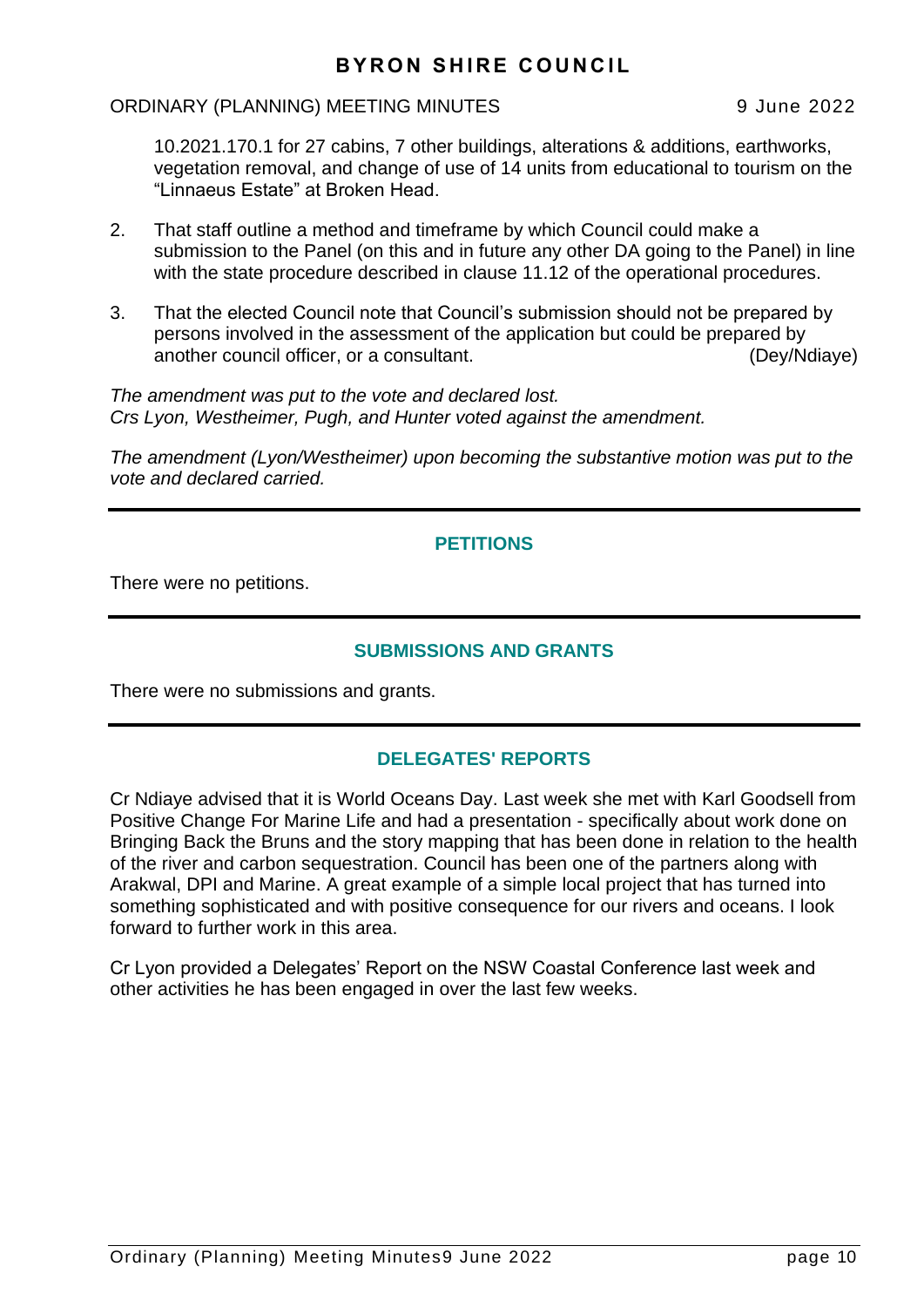#### ORDINARY (PLANNING) MEETING MINUTES 9 June 2022

10.2021.170.1 for 27 cabins, 7 other buildings, alterations & additions, earthworks, vegetation removal, and change of use of 14 units from educational to tourism on the "Linnaeus Estate" at Broken Head.

- 2. That staff outline a method and timeframe by which Council could make a submission to the Panel (on this and in future any other DA going to the Panel) in line with the state procedure described in clause 11.12 of the operational procedures.
- 3. That the elected Council note that Council's submission should not be prepared by persons involved in the assessment of the application but could be prepared by another council officer, or a consultant. (Dey/Ndiaye)

*The amendment was put to the vote and declared lost. Crs Lyon, Westheimer, Pugh, and Hunter voted against the amendment.*

*The amendment (Lyon/Westheimer) upon becoming the substantive motion was put to the vote and declared carried.*

# **PETITIONS**

There were no petitions.

#### **SUBMISSIONS AND GRANTS**

There were no submissions and grants.

## **DELEGATES' REPORTS**

Cr Ndiaye advised that it is World Oceans Day. Last week she met with Karl Goodsell from Positive Change For Marine Life and had a presentation - specifically about work done on Bringing Back the Bruns and the story mapping that has been done in relation to the health of the river and carbon sequestration. Council has been one of the partners along with Arakwal, DPI and Marine. A great example of a simple local project that has turned into something sophisticated and with positive consequence for our rivers and oceans. I look forward to further work in this area.

Cr Lyon provided a Delegates' Report on the NSW Coastal Conference last week and other activities he has been engaged in over the last few weeks.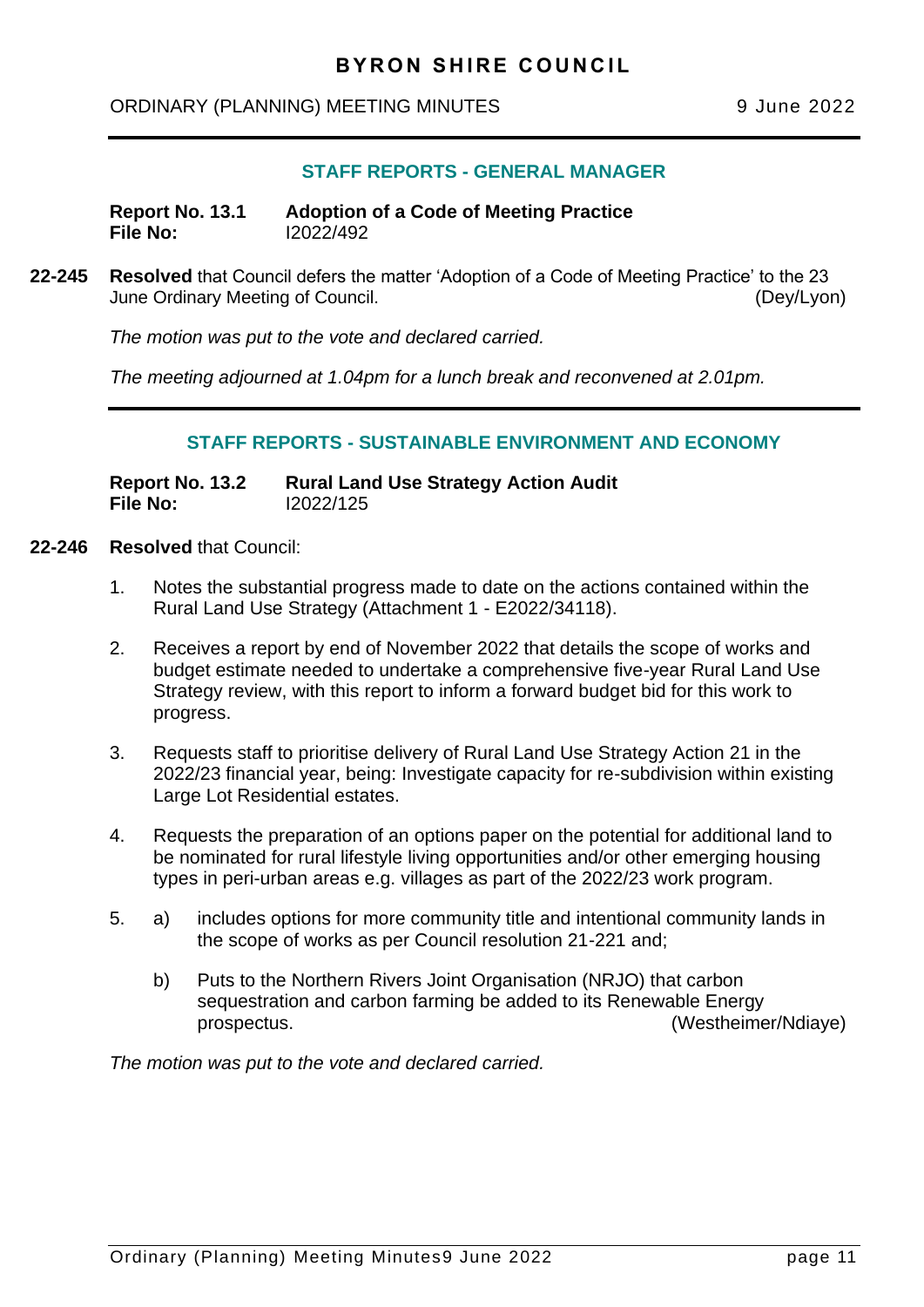# <span id="page-10-0"></span>ORDINARY (PLANNING) MEETING MINUTES 9 June 2022

# **STAFF REPORTS - GENERAL MANAGER**

**Report No. 13.1 Adoption of a Code of Meeting Practice File No:** I2022/492

**22-245 Resolved** that Council defers the matter 'Adoption of a Code of Meeting Practice' to the 23 June Ordinary Meeting of Council. (Dey/Lyon)

*The motion was put to the vote and declared carried.*

*The meeting adjourned at 1.04pm for a lunch break and reconvened at 2.01pm.*

#### **STAFF REPORTS - SUSTAINABLE ENVIRONMENT AND ECONOMY**

**Report No. 13.2 Rural Land Use Strategy Action Audit File No:** I2022/125

- **22-246 Resolved** that Council:
	- 1. Notes the substantial progress made to date on the actions contained within the Rural Land Use Strategy (Attachment 1 - E2022/34118).
	- 2. Receives a report by end of November 2022 that details the scope of works and budget estimate needed to undertake a comprehensive five-year Rural Land Use Strategy review, with this report to inform a forward budget bid for this work to progress.
	- 3. Requests staff to prioritise delivery of Rural Land Use Strategy Action 21 in the 2022/23 financial year, being: Investigate capacity for re-subdivision within existing Large Lot Residential estates.
	- 4. Requests the preparation of an options paper on the potential for additional land to be nominated for rural lifestyle living opportunities and/or other emerging housing types in peri-urban areas e.g. villages as part of the 2022/23 work program.
	- 5. a) includes options for more community title and intentional community lands in the scope of works as per Council resolution 21-221 and;
		- b) Puts to the Northern Rivers Joint Organisation (NRJO) that carbon sequestration and carbon farming be added to its Renewable Energy prospectus. (Westheimer/Ndiaye)

*The motion was put to the vote and declared carried.*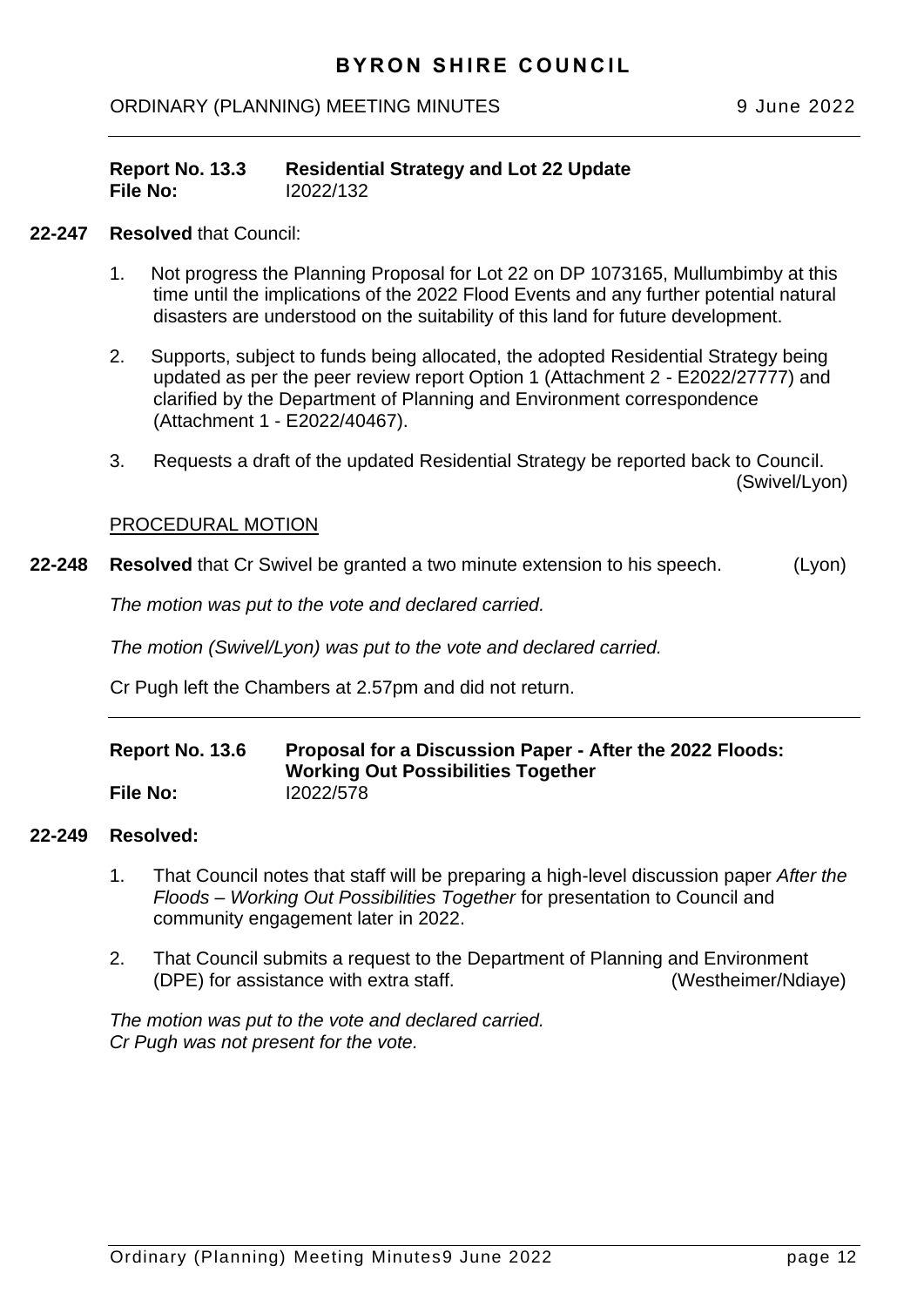<span id="page-11-0"></span>ORDINARY (PLANNING) MEETING MINUTES 9 June 2022

| Report No. 13.3 | <b>Residential Strategy and Lot 22 Update</b> |
|-----------------|-----------------------------------------------|
| File No:        | 12022/132                                     |

#### **22-247 Resolved** that Council:

- 1. Not progress the Planning Proposal for Lot 22 on DP 1073165, Mullumbimby at this time until the implications of the 2022 Flood Events and any further potential natural disasters are understood on the suitability of this land for future development.
- 2. Supports, subject to funds being allocated, the adopted Residential Strategy being updated as per the peer review report Option 1 (Attachment 2 - E2022/27777) and clarified by the Department of Planning and Environment correspondence (Attachment 1 - E2022/40467).
- 3. Requests a draft of the updated Residential Strategy be reported back to Council. (Swivel/Lyon)

#### PROCEDURAL MOTION

**22-248 Resolved** that Cr Swivel be granted a two minute extension to his speech. (Lyon)

*The motion was put to the vote and declared carried.*

*The motion (Swivel/Lyon) was put to the vote and declared carried.*

Cr Pugh left the Chambers at 2.57pm and did not return.

| Report No. 13.6 | Proposal for a Discussion Paper - After the 2022 Floods:<br><b>Working Out Possibilities Together</b> |
|-----------------|-------------------------------------------------------------------------------------------------------|
| <b>File No:</b> | 12022/578                                                                                             |

#### **22-249 Resolved:**

- 1. That Council notes that staff will be preparing a high-level discussion paper *After the Floods – Working Out Possibilities Together* for presentation to Council and community engagement later in 2022.
- 2. That Council submits a request to the Department of Planning and Environment (DPE) for assistance with extra staff. (Westheimer/Ndiaye)

*The motion was put to the vote and declared carried. Cr Pugh was not present for the vote.*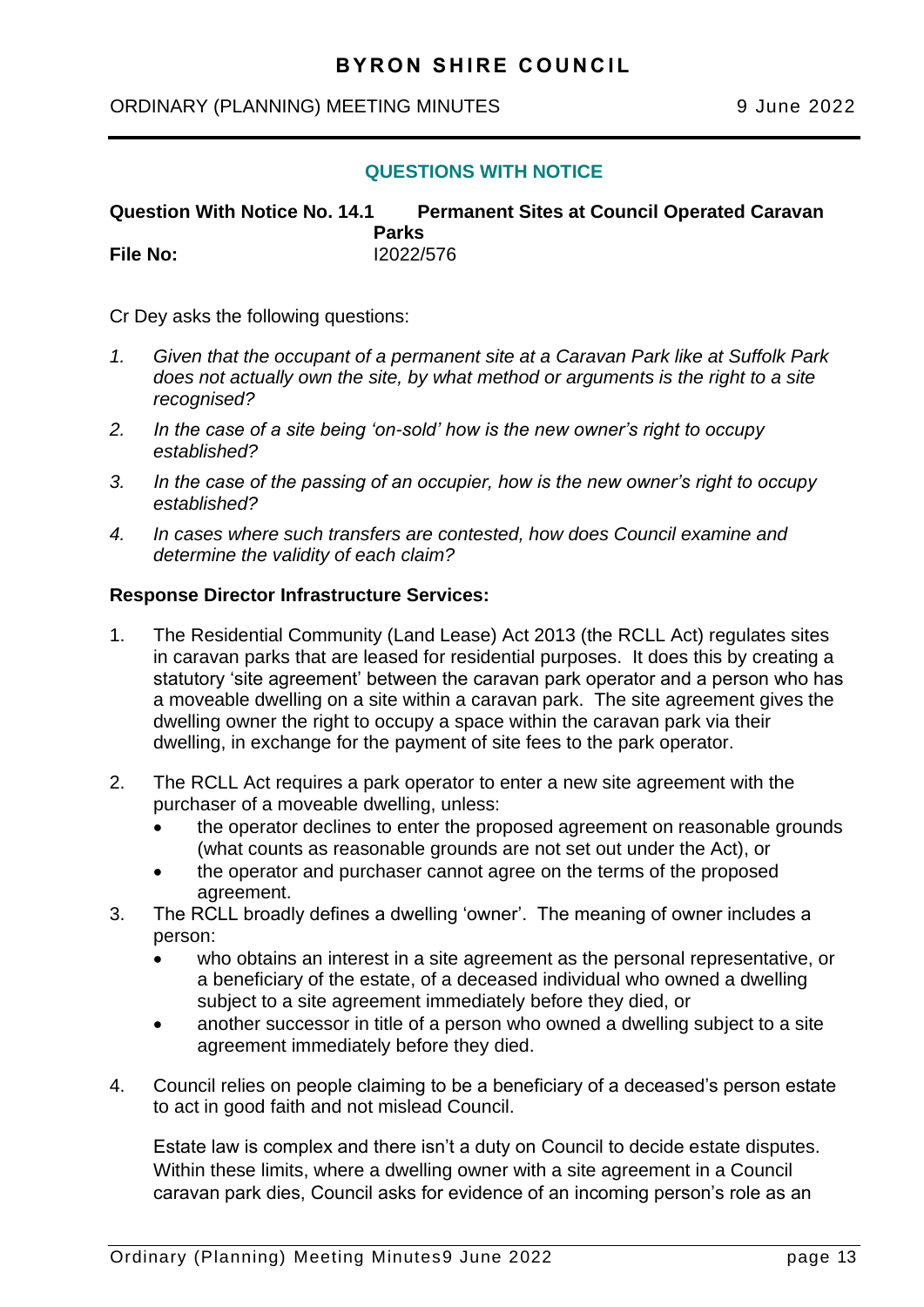#### <span id="page-12-0"></span>ORDINARY (PLANNING) MEETING MINUTES 9 June 2022

#### **QUESTIONS WITH NOTICE**

## **Question With Notice No. 14.1 Permanent Sites at Council Operated Caravan**

**Parks File No:** I2022/576

Cr Dey asks the following questions:

- *1. Given that the occupant of a permanent site at a Caravan Park like at Suffolk Park does not actually own the site, by what method or arguments is the right to a site recognised?*
- *2. In the case of a site being 'on-sold' how is the new owner's right to occupy established?*
- *3. In the case of the passing of an occupier, how is the new owner's right to occupy established?*
- *4. In cases where such transfers are contested, how does Council examine and determine the validity of each claim?*

#### **Response Director Infrastructure Services:**

- 1. The Residential Community (Land Lease) Act 2013 (the RCLL Act) regulates sites in caravan parks that are leased for residential purposes. It does this by creating a statutory 'site agreement' between the caravan park operator and a person who has a moveable dwelling on a site within a caravan park. The site agreement gives the dwelling owner the right to occupy a space within the caravan park via their dwelling, in exchange for the payment of site fees to the park operator.
- 2. The RCLL Act requires a park operator to enter a new site agreement with the purchaser of a moveable dwelling, unless:
	- the operator declines to enter the proposed agreement on reasonable grounds (what counts as reasonable grounds are not set out under the Act), or
	- the operator and purchaser cannot agree on the terms of the proposed agreement.
- 3. The RCLL broadly defines a dwelling 'owner'. The meaning of owner includes a person:
	- who obtains an interest in a site agreement as the personal representative, or a beneficiary of the estate, of a deceased individual who owned a dwelling subject to a site agreement immediately before they died, or
	- another successor in title of a person who owned a dwelling subject to a site agreement immediately before they died.
- 4. Council relies on people claiming to be a beneficiary of a deceased's person estate to act in good faith and not mislead Council.

Estate law is complex and there isn't a duty on Council to decide estate disputes. Within these limits, where a dwelling owner with a site agreement in a Council caravan park dies, Council asks for evidence of an incoming person's role as an